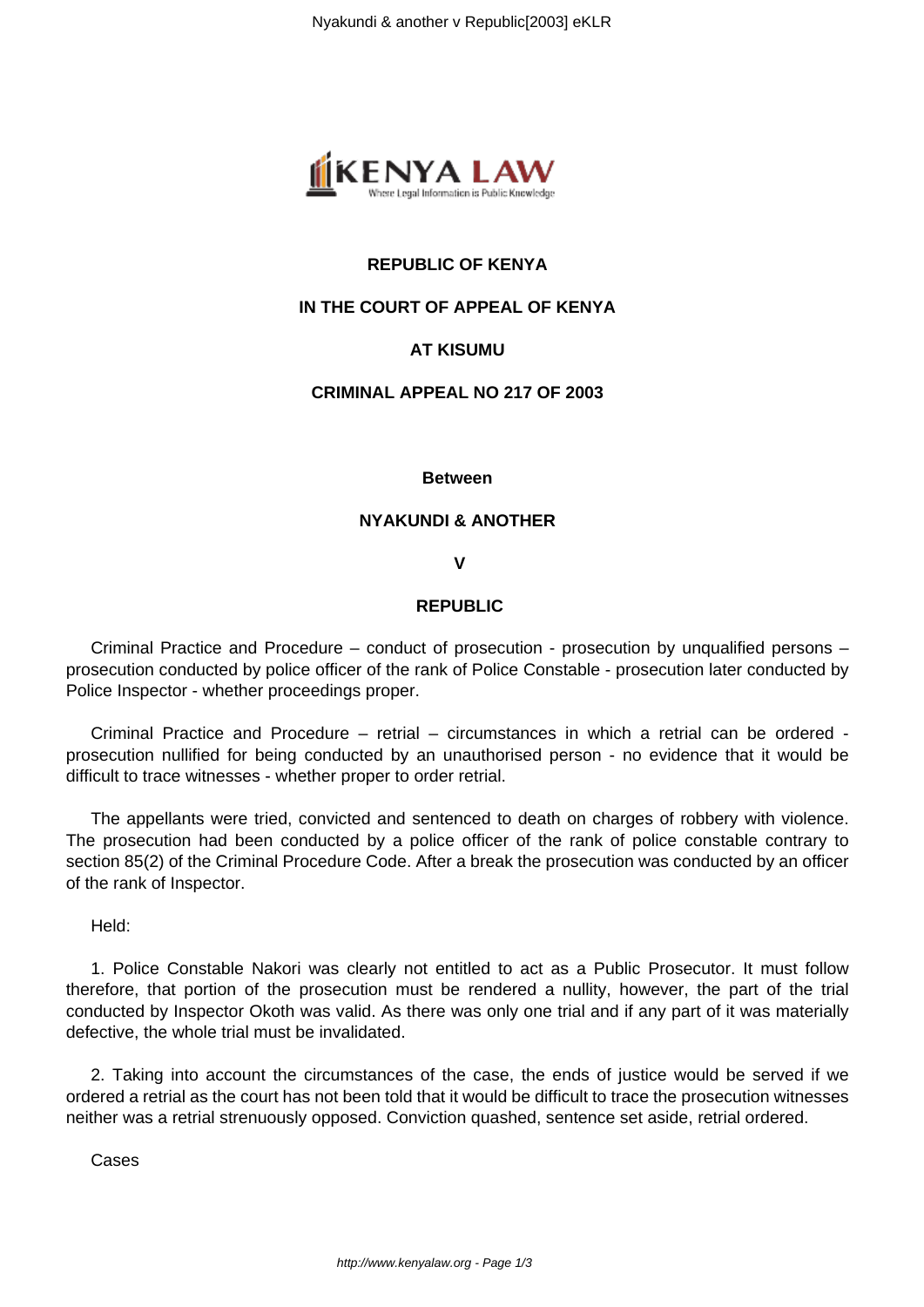

# **REPUBLIC OF KENYA**

## **IN THE COURT OF APPEAL OF KENYA**

# **AT KISUMU**

## **CRIMINAL APPEAL NO 217 OF 2003**

### **Between**

## **NYAKUNDI & ANOTHER**

### **V**

## **REPUBLIC**

Criminal Practice and Procedure – conduct of prosecution - prosecution by unqualified persons – prosecution conducted by police officer of the rank of Police Constable - prosecution later conducted by Police Inspector - whether proceedings proper.

Criminal Practice and Procedure – retrial – circumstances in which a retrial can be ordered prosecution nullified for being conducted by an unauthorised person - no evidence that it would be difficult to trace witnesses - whether proper to order retrial.

The appellants were tried, convicted and sentenced to death on charges of robbery with violence. The prosecution had been conducted by a police officer of the rank of police constable contrary to section 85(2) of the Criminal Procedure Code. After a break the prosecution was conducted by an officer of the rank of Inspector.

Held:

1. Police Constable Nakori was clearly not entitled to act as a Public Prosecutor. It must follow therefore, that portion of the prosecution must be rendered a nullity, however, the part of the trial conducted by Inspector Okoth was valid. As there was only one trial and if any part of it was materially defective, the whole trial must be invalidated.

2. Taking into account the circumstances of the case, the ends of justice would be served if we ordered a retrial as the court has not been told that it would be difficult to trace the prosecution witnesses neither was a retrial strenuously opposed. Conviction quashed, sentence set aside, retrial ordered.

**Cases**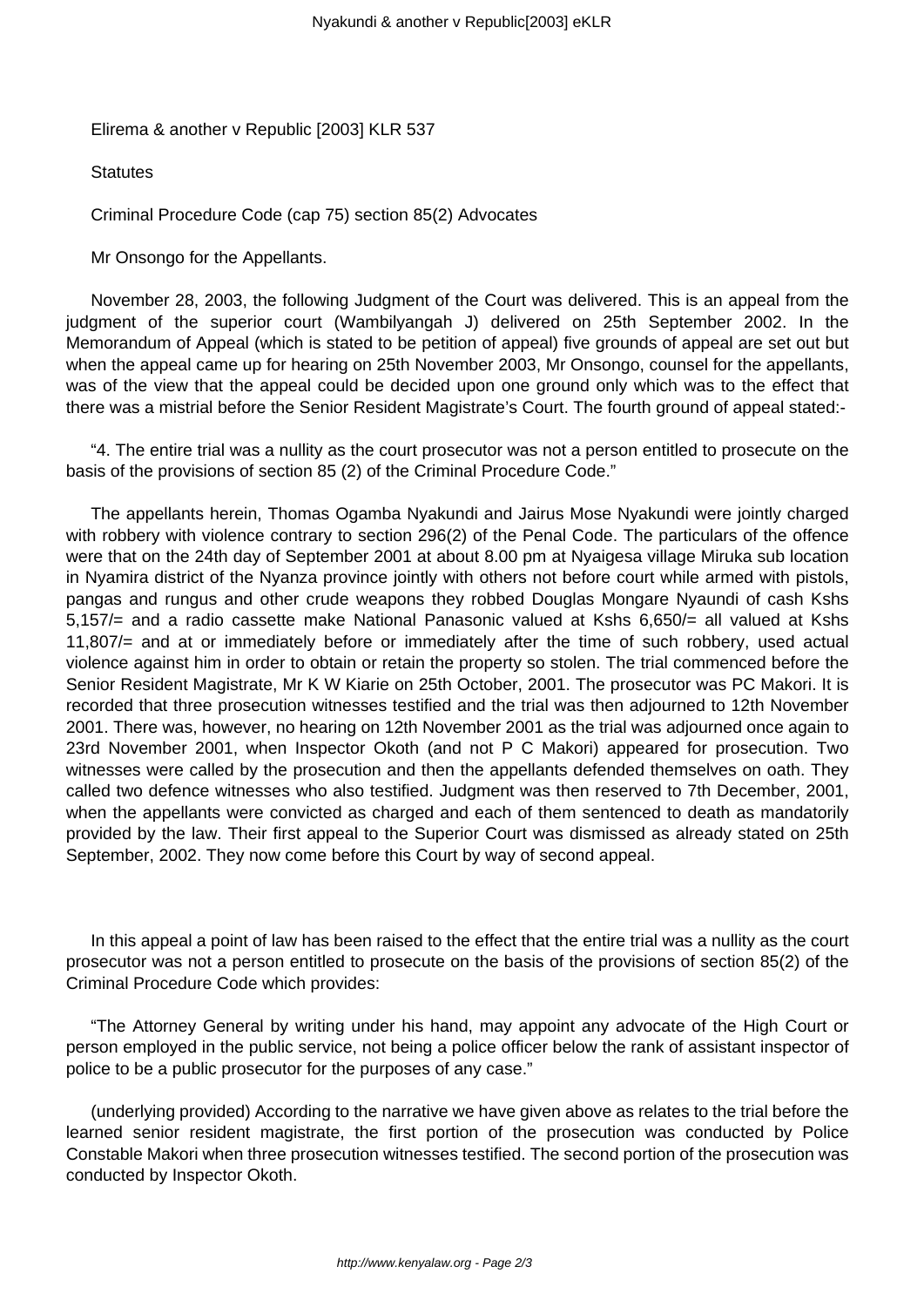Elirema & another v Republic [2003] KLR 537

**Statutes** 

Criminal Procedure Code (cap 75) section 85(2) Advocates

Mr Onsongo for the Appellants.

November 28, 2003, the following Judgment of the Court was delivered. This is an appeal from the judgment of the superior court (Wambilyangah J) delivered on 25th September 2002. In the Memorandum of Appeal (which is stated to be petition of appeal) five grounds of appeal are set out but when the appeal came up for hearing on 25th November 2003, Mr Onsongo, counsel for the appellants, was of the view that the appeal could be decided upon one ground only which was to the effect that there was a mistrial before the Senior Resident Magistrate's Court. The fourth ground of appeal stated:-

"4. The entire trial was a nullity as the court prosecutor was not a person entitled to prosecute on the basis of the provisions of section 85 (2) of the Criminal Procedure Code."

The appellants herein, Thomas Ogamba Nyakundi and Jairus Mose Nyakundi were jointly charged with robbery with violence contrary to section 296(2) of the Penal Code. The particulars of the offence were that on the 24th day of September 2001 at about 8.00 pm at Nyaigesa village Miruka sub location in Nyamira district of the Nyanza province jointly with others not before court while armed with pistols, pangas and rungus and other crude weapons they robbed Douglas Mongare Nyaundi of cash Kshs 5,157/= and a radio cassette make National Panasonic valued at Kshs 6,650/= all valued at Kshs 11,807/= and at or immediately before or immediately after the time of such robbery, used actual violence against him in order to obtain or retain the property so stolen. The trial commenced before the Senior Resident Magistrate, Mr K W Kiarie on 25th October, 2001. The prosecutor was PC Makori. It is recorded that three prosecution witnesses testified and the trial was then adjourned to 12th November 2001. There was, however, no hearing on 12th November 2001 as the trial was adjourned once again to 23rd November 2001, when Inspector Okoth (and not P C Makori) appeared for prosecution. Two witnesses were called by the prosecution and then the appellants defended themselves on oath. They called two defence witnesses who also testified. Judgment was then reserved to 7th December, 2001, when the appellants were convicted as charged and each of them sentenced to death as mandatorily provided by the law. Their first appeal to the Superior Court was dismissed as already stated on 25th September, 2002. They now come before this Court by way of second appeal.

In this appeal a point of law has been raised to the effect that the entire trial was a nullity as the court prosecutor was not a person entitled to prosecute on the basis of the provisions of section 85(2) of the Criminal Procedure Code which provides:

"The Attorney General by writing under his hand, may appoint any advocate of the High Court or person employed in the public service, not being a police officer below the rank of assistant inspector of police to be a public prosecutor for the purposes of any case."

(underlying provided) According to the narrative we have given above as relates to the trial before the learned senior resident magistrate, the first portion of the prosecution was conducted by Police Constable Makori when three prosecution witnesses testified. The second portion of the prosecution was conducted by Inspector Okoth.